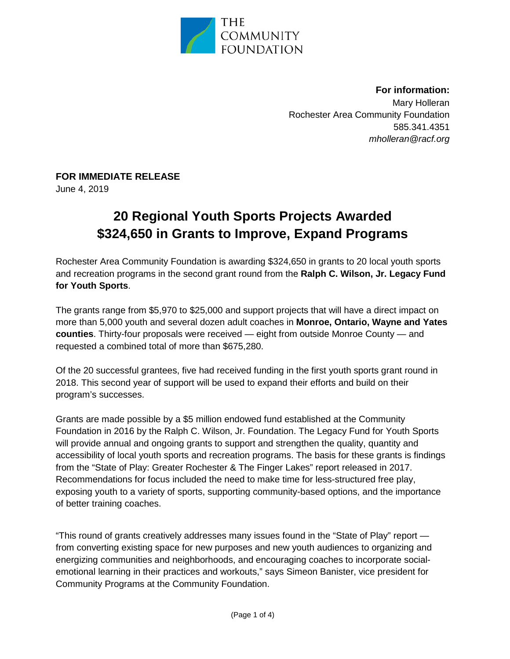

**For information:**  Mary Holleran Rochester Area Community Foundation 585.341.4351 *mholleran@racf.org* 

## **FOR IMMEDIATE RELEASE**

June 4, 2019

## **20 Regional Youth Sports Projects Awarded \$324,650 in Grants to Improve, Expand Programs**

Rochester Area Community Foundation is awarding \$324,650 in grants to 20 local youth sports and recreation programs in the second grant round from the **Ralph C. Wilson, Jr. Legacy Fund for Youth Sports**.

The grants range from \$5,970 to \$25,000 and support projects that will have a direct impact on more than 5,000 youth and several dozen adult coaches in **Monroe, Ontario, Wayne and Yates counties**. Thirty-four proposals were received — eight from outside Monroe County — and requested a combined total of more than \$675,280.

Of the 20 successful grantees, five had received funding in the first youth sports grant round in 2018. This second year of support will be used to expand their efforts and build on their program's successes.

Grants are made possible by a \$5 million endowed fund established at the Community Foundation in 2016 by the Ralph C. Wilson, Jr. Foundation. The Legacy Fund for Youth Sports will provide annual and ongoing grants to support and strengthen the quality, quantity and accessibility of local youth sports and recreation programs. The basis for these grants is findings from the "State of Play: Greater Rochester & The Finger Lakes" report released in 2017. Recommendations for focus included the need to make time for less-structured free play, exposing youth to a variety of sports, supporting community-based options, and the importance of better training coaches.

"This round of grants creatively addresses many issues found in the "State of Play" report from converting existing space for new purposes and new youth audiences to organizing and energizing communities and neighborhoods, and encouraging coaches to incorporate socialemotional learning in their practices and workouts," says Simeon Banister, vice president for Community Programs at the Community Foundation.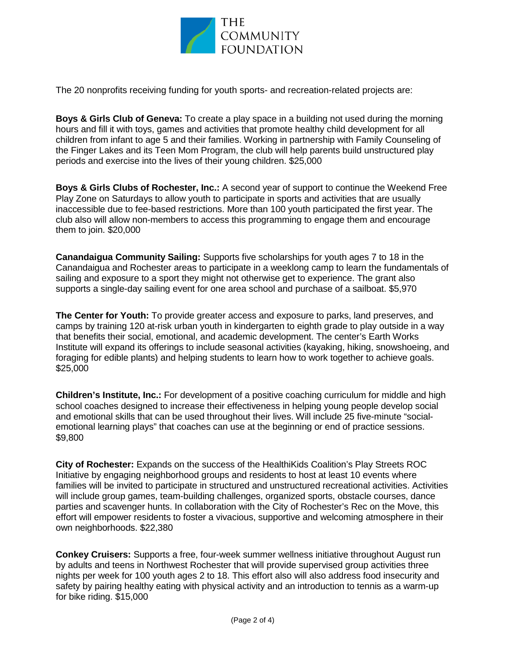

The 20 nonprofits receiving funding for youth sports- and recreation-related projects are:

**Boys & Girls Club of Geneva:** To create a play space in a building not used during the morning hours and fill it with toys, games and activities that promote healthy child development for all children from infant to age 5 and their families. Working in partnership with Family Counseling of the Finger Lakes and its Teen Mom Program, the club will help parents build unstructured play periods and exercise into the lives of their young children. \$25,000

**Boys & Girls Clubs of Rochester, Inc.:** A second year of support to continue the Weekend Free Play Zone on Saturdays to allow youth to participate in sports and activities that are usually inaccessible due to fee-based restrictions. More than 100 youth participated the first year. The club also will allow non-members to access this programming to engage them and encourage them to join. \$20,000

**Canandaigua Community Sailing:** Supports five scholarships for youth ages 7 to 18 in the Canandaigua and Rochester areas to participate in a weeklong camp to learn the fundamentals of sailing and exposure to a sport they might not otherwise get to experience. The grant also supports a single-day sailing event for one area school and purchase of a sailboat. \$5,970

**The Center for Youth:** To provide greater access and exposure to parks, land preserves, and camps by training 120 at-risk urban youth in kindergarten to eighth grade to play outside in a way that benefits their social, emotional, and academic development. The center's Earth Works Institute will expand its offerings to include seasonal activities (kayaking, hiking, snowshoeing, and foraging for edible plants) and helping students to learn how to work together to achieve goals. \$25,000

**Children's Institute, Inc.:** For development of a positive coaching curriculum for middle and high school coaches designed to increase their effectiveness in helping young people develop social and emotional skills that can be used throughout their lives. Will include 25 five-minute "socialemotional learning plays" that coaches can use at the beginning or end of practice sessions. \$9,800

**City of Rochester:** Expands on the success of the HealthiKids Coalition's Play Streets ROC Initiative by engaging neighborhood groups and residents to host at least 10 events where families will be invited to participate in structured and unstructured recreational activities. Activities will include group games, team-building challenges, organized sports, obstacle courses, dance parties and scavenger hunts. In collaboration with the City of Rochester's Rec on the Move, this effort will empower residents to foster a vivacious, supportive and welcoming atmosphere in their own neighborhoods. \$22,380

**Conkey Cruisers:** Supports a free, four-week summer wellness initiative throughout August run by adults and teens in Northwest Rochester that will provide supervised group activities three nights per week for 100 youth ages 2 to 18. This effort also will also address food insecurity and safety by pairing healthy eating with physical activity and an introduction to tennis as a warm-up for bike riding. \$15,000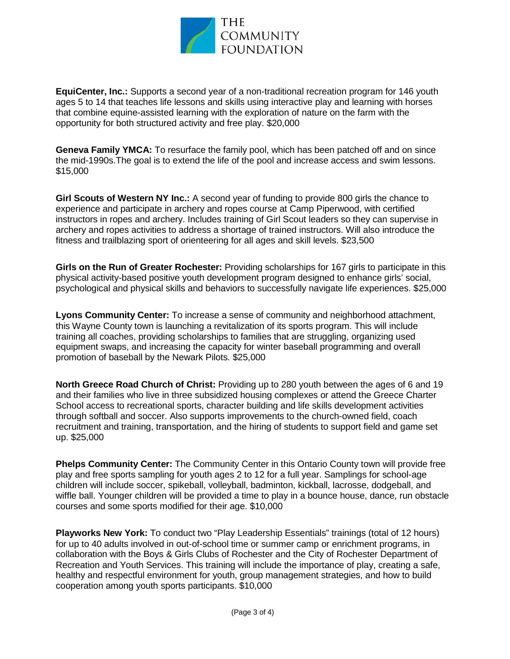

**EquiCenter, Inc.:** Supports a second year of a non-traditional recreation program for 146 youth ages 5 to 14 that teaches life lessons and skills using interactive play and learning with horses that combine equine-assisted learning with the exploration of nature on the farm with the opportunity for both structured activity and free play. \$20,000

**Geneva Family YMCA:** To resurface the family pool, which has been patched off and on since the mid-1990s.The goal is to extend the life of the pool and increase access and swim lessons. \$15,000

**Girl Scouts of Western NY Inc.:** A second year of funding to provide 800 girls the chance to experience and participate in archery and ropes course at Camp Piperwood, with certified instructors in ropes and archery. Includes training of Girl Scout leaders so they can supervise in archery and ropes activities to address a shortage of trained instructors. Will also introduce the fitness and trailblazing sport of orienteering for all ages and skill levels. \$23,500

**Girls on the Run of Greater Rochester:** Providing scholarships for 167 girls to participate in this physical activity-based positive youth development program designed to enhance girls' social, psychological and physical skills and behaviors to successfully navigate life experiences. \$25,000

**Lyons Community Center:** To increase a sense of community and neighborhood attachment, this Wayne County town is launching a revitalization of its sports program. This will include training all coaches, providing scholarships to families that are struggling, organizing used equipment swaps, and increasing the capacity for winter baseball programming and overall promotion of baseball by the Newark Pilots. \$25,000

**North Greece Road Church of Christ:** Providing up to 280 youth between the ages of 6 and 19 and their families who live in three subsidized housing complexes or attend the Greece Charter School access to recreational sports, character building and life skills development activities through softball and soccer. Also supports improvements to the church-owned field, coach recruitment and training, transportation, and the hiring of students to support field and game set up. \$25,000

**Phelps Community Center:** The Community Center in this Ontario County town will provide free play and free sports sampling for youth ages 2 to 12 for a full year. Samplings for school-age children will include soccer, spikeball, volleyball, badminton, kickball, lacrosse, dodgeball, and wiffle ball. Younger children will be provided a time to play in a bounce house, dance, run obstacle courses and some sports modified for their age. \$10,000

**Playworks New York:** To conduct two "Play Leadership Essentials" trainings (total of 12 hours) for up to 40 adults involved in out-of-school time or summer camp or enrichment programs, in collaboration with the Boys & Girls Clubs of Rochester and the City of Rochester Department of Recreation and Youth Services. This training will include the importance of play, creating a safe, healthy and respectful environment for youth, group management strategies, and how to build cooperation among youth sports participants. \$10,000